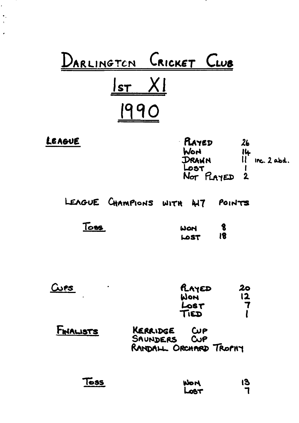|                  | <u>ARLINGTON</u> CRICKET CLUB                                    |                                                    |
|------------------|------------------------------------------------------------------|----------------------------------------------------|
|                  | <u>lst</u> XI<br>990                                             |                                                    |
| LEAGUE           | PLAYED<br>World<br>DRAWN<br>L<br>NOT PLAYED 2                    | 26<br>$\frac{114}{11}$ inc. 2 abd.<br>$\mathbf I$  |
|                  | LEAGUE CHAMPIONS WITH HIT<br>POINTS                              |                                                    |
| T <sub>0</sub>   | $\boldsymbol{\delta}$<br>WON<br>18<br>LOST                       |                                                    |
| <u>Cups</u>      | RAYED<br><b>WON</b><br>LOST<br>TIED                              | $\boldsymbol{20}$<br>12<br>$\overline{\mathbf{7}}$ |
| <b>FINALISTS</b> | KERRIDGE<br><b>CUP</b><br>SAUNDERS CUP<br>RANDALL ORCHARD TROPHY |                                                    |
| $T$ oss          | <b>HOM</b><br><b>TED</b>                                         | 13                                                 |

.

<u>т</u> <u>т</u>

 $\epsilon$ 

 $\bullet$  .  $\overline{\phantom{a}}$ 

J.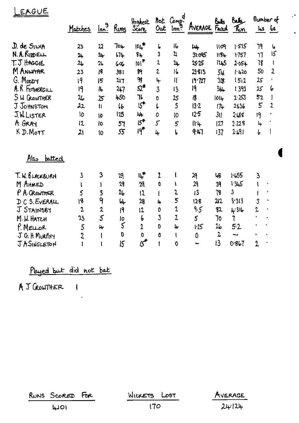| EAGUE                         |                         |                           |                 |                                     |                             |                         |                |                 |                    |                |                |
|-------------------------------|-------------------------|---------------------------|-----------------|-------------------------------------|-----------------------------|-------------------------|----------------|-----------------|--------------------|----------------|----------------|
|                               | <u>Matches</u>          | $\frac{9}{100}$           | <u>Runs</u>     | Highest<br>Score                    |                             | not Comp.<br>Out Inn?   | AVERAGE FACED  |                 | buls<br><u>Kon</u> | flumber of     | $As$ $bs$      |
| D. de SILVA                   | 23                      | 22                        | 70 <sub>1</sub> | $10L^{\pm}$                         | 6                           | i6                      | $\mu$          | 1109            | 1.575              | 79             | 6              |
| N. A. RIDELL                  | 24                      | $2+$                      | $57 +$          | 84                                  | 3                           | $\overline{\mathbf{u}}$ | 32.095         | 1184            | 1.757              | 77             | 15             |
| T.J HAGGIE                    | 2 <sub>b</sub>          | 26                        | 60 <sub>o</sub> | 101                                 | 2                           | 24                      | 25.25          | 1245            | $2.05 +$           | 78             | ł              |
| M ANW <del>AR</del>           | $\overline{23}$         | 3                         | 381             | \$9                                 | $\overline{2}$              | 16                      | 23.813         | 5ц              | 1420               | 50             | 2              |
| G. Moody                      | 19                      | 5                         | 217             | $\gamma$                            | Ļ                           | $\mathbf{I}$            | 19.727         | 328             | 1512               | 25             |                |
| A.R. FOTHERGILL               | 19                      | $\mathsf{I}^{\mathsf{P}}$ | 247             | $52*$                               | $\overline{3}$              | 13                      | 19             | 344             | 1393               | 25             | 6              |
| SW GROWTHER                   | 26                      | 25                        | 450             | 76                                  | $\mathbf 0$                 | 25                      | 18             | 1014            | 2.253              | 52             | I              |
| J JOHNSTON                    | 22                      | $\mathbf{u}$              | 66              | $5^*$                               | $\overline{L}$              | 5                       | $13 - 2$       | 174             | 2636               | $\overline{5}$ | $\overline{2}$ |
| J. WLISTER                    | 10                      | 10                        | 125             | جابا                                | 0                           | 10                      | 12.5           | 3 <sub>II</sub> | 2.488              | 19             |                |
| A GRAY                        | 12                      | 10                        | 57              | 15 <sup>4</sup>                     | $\mathcal{L}_{\mathcal{L}}$ | 5                       | 114            | 127             | 223                | $\frac{1}{2}$  |                |
| K D. MOTT                     | 21                      | 10                        | 55              | 19 <sup>#</sup>                     | 4                           | L                       | 9.117          | 137             | 2491               | 6              |                |
| <u> Alsم</u><br><u>batted</u> |                         |                           |                 |                                     |                             |                         |                |                 |                    |                |                |
| T. W. BLACKBURN               | $\overline{\mathbf{3}}$ | 3                         | 29              | Щ*                                  | $\overline{L}$              | ţ                       | 29             | 48              | 1655               | $\mathbf{3}$   |                |
| M AHMED                       |                         | $\mathbf{I}$              | 29              | $\mathfrak{A}$                      | $\mathbf 0$                 | V                       | 29             | 39              | 13.5               | ١              |                |
| P A. CROWTHER                 | 5                       | 3                         | 26              | 12                                  | ł                           | 2                       | 13             | 18              | $\mathfrak z$      |                |                |
| C S. EVERALL<br>$\mathcal{D}$ | 18                      | 9                         | $\mathsf{L}$    | 28                                  | 4                           | 5                       | 128            | 212             | 3.313              | 3              |                |
| J STAINSBY                    | $\overline{2}$          | $\lambda$                 | 9               | 12                                  | 0                           | 2                       | 9.5            | 82              | 4.316              | 2              |                |
| M.W. HATCH                    | 23                      | $\overline{5}$            | lo              | 6                                   | $\overline{3}$              | $\overline{2}$          | $\mathfrak{s}$ | 70              | 7                  |                |                |
| P. MELLOR                     | 5                       | 4                         | $\mathsf{S}$    | $\overline{a}$                      | O                           | $\mathbf{r}$            | 1.25           | 26              | 5.2                |                |                |
| J G. H MURPHY                 | $\overline{2}$          | $\mathbf{I}$              | $\mathbf{0}$    | $\mathbf 0$                         | Ô                           | t                       | 0              | $\mathbf{z}$    |                    |                |                |
| JASINGLETON                   |                         |                           | 15              | $\boldsymbol{\mathcal{B}}^\bigstar$ |                             | $\mathbf 0$             |                | 13              | 0.867              | $\overline{2}$ |                |

 $\mathbb{R}^{\frac{1}{2}}$ 

 $\hat{\mathbf{v}}$ 

Played but did not bat

 $\sim 10^{11}$ 

A J GROWTHER 1

| RUNS SCORED FOR | WICKETS LOST | AVERAGE |
|-----------------|--------------|---------|
| <b>LIOI</b>     | 170          | 24/124  |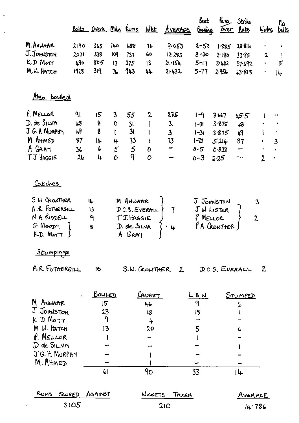|                        |                |               |                 |                |               | Balls Overs Mdn Runs WKŁ AVERAGE | best<br>Bowling |                | Runs Strike<br><u>Over</u> Rate | <u>Wides</u>   | <b>ال</b><br><u>balls</u> |
|------------------------|----------------|---------------|-----------------|----------------|---------------|----------------------------------|-----------------|----------------|---------------------------------|----------------|---------------------------|
| M. ANWAAR              | 2190           | 365           | 140             | 688            | 76            | 9.053                            | $8 - 52$        | 1.885          | 28.81 <sub>b</sub>              | $\bullet$      | $\bullet$                 |
| J.Johnston             | 2031           | 338           | <b>IO9</b>      | 737            | 60            | 12.293                           | $8 - 30$        | 2.180          | 33.85                           | $\mathbf{2}$   | I                         |
| K.D. Mott              | 490            | 80.5          | 13              | 275            | 13            | $21 - 154$                       | $5 - 17$        | 3.402          | 37.692                          |                | 5                         |
| M.W. HATCH             | 1928           | 319           | 7 <sub>6</sub>  | 943            | 44            | 21.432                           | $5 - 77$        | 2956           | 13.818                          | $\bullet$      | Jų                        |
| Also bowled            |                |               |                 |                |               |                                  |                 |                |                                 |                |                           |
| $P.M\in L\circ R$      | $q_1$          | 15            | 3               | 55             | 2             | 275                              | $1 - 9$         | 3.667          | $\mathfrak{u}55$                |                |                           |
| D. de SILVA            | 48             | 8             | $\circ$         | 31             | $\mathbf{I}$  | 3                                | $1 - 31$        | 3.875          | 48                              |                |                           |
| J G. H MURPHY          | 49             | 8             | $\mathbf{I}$    | 3 <sub>l</sub> | ı             | 3 <sub>l</sub>                   | $1 - 31$        | 3.875          | 49                              |                |                           |
| M AHMED                | 37             | l4            | 4               | 73             | Ł             | 73                               | $1 - 73$        | 5.214          | 87                              |                | $\overline{3}$            |
| A GAAT                 | 36             | 6             | $5\overline{)}$ | $\frac{5}{9}$  | O             | $\qquad \qquad \blacksquare$     | $0 - 5$         | 0.833          | $\overline{\phantom{0}}$        |                | $\bullet$                 |
| <b>TJ HAGGIE</b>       | 2 <sub>b</sub> | 4             | 0               |                | $\mathbf O$   |                                  | $0 - 3$         | 2.25           | ⊸                               | $\overline{2}$ | ٠                         |
| <u>Catches</u>         |                |               |                 |                |               |                                  |                 |                |                                 |                |                           |
| S W CROWTHER           |                | IĻ            |                 | M ANWAAR       |               |                                  | J JOHNSTON      |                |                                 | 3              |                           |
| A.R. FOTHERGILL        |                | 13            |                 | DC.S. EVERAL   |               | $\overline{I}$                   | JW LISTER       |                |                                 |                |                           |
| N A. RIDDELL           |                | ٩             |                 | TJ. HAGGIE     |               |                                  | P MELLOR        |                |                                 | $\overline{2}$ |                           |
| G Moopy                |                | 8             |                 | D. de SILVA    |               | $-4$                             |                 | PA GRONTHER    |                                 |                |                           |
| K.D. Mort              |                |               |                 | A GRAY         |               |                                  |                 |                |                                 |                |                           |
| Stumpings              |                |               |                 |                |               |                                  |                 |                |                                 |                |                           |
| A.R. FOTHERGILL        |                | 10            |                 |                |               | S.W. CROWTHER 2                  |                 | D.C.S. EVERALL |                                 | $\mathbf{2}$   |                           |
|                        |                | <u>BOWLED</u> |                 |                | <u>Cavent</u> |                                  | <u>LBW</u>      |                | STUMPED                         |                |                           |
| M ANWAAR               |                | 15            |                 |                | طبا           |                                  | 9               |                | 6                               |                |                           |
| J JOHNSTON             |                | 23            |                 |                | 18            |                                  | 18              |                |                                 |                |                           |
| $K$ $\mathcal{D}$ Morr |                | $\mathsf{P}$  |                 |                | 4             |                                  |                 |                |                                 |                |                           |
| M W. HATCH             |                | 13            |                 |                | 20            |                                  | 5               |                | ،                               |                |                           |
| P MELLOR               |                |               |                 |                |               |                                  |                 |                |                                 |                |                           |
| $D$ de SILVA           |                |               |                 |                |               |                                  |                 |                |                                 |                |                           |
| JG.H. MURPHY           |                |               |                 |                |               |                                  |                 |                |                                 |                |                           |
| M. AHMED               |                |               |                 |                |               |                                  |                 |                |                                 |                |                           |
|                        |                | 61            |                 |                | 90            |                                  | 33              |                | l L                             |                |                           |
| <b>RUNS</b><br>SCORED  |                | AGAINST       |                 |                | WICKETS       | TAKEN                            |                 |                | AVERAGE                         |                |                           |
|                        | 3105           |               |                 |                |               | 210                              |                 |                |                                 | 14.786         |                           |

Ï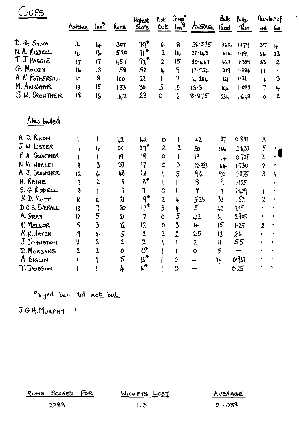| $\cdot$ ) $\rho_{\frac{C}{2}}$ |                         |                     |                    |                                |                |                                              |                 |                 |                   |                         |              |
|--------------------------------|-------------------------|---------------------|--------------------|--------------------------------|----------------|----------------------------------------------|-----------------|-----------------|-------------------|-------------------------|--------------|
|                                | Motches                 |                     |                    | Highest                        | not            | Comp <sup>d</sup>                            |                 | &Æ              | كطلط              | nunberot                |              |
|                                |                         | $\frac{\ln n^9}{2}$ | <u>kuns</u>        | Score                          | Out            | $\ln n$ <sup><math>\overline{a}</math></sup> | AVERAGE         | Faced           | $\mathcal{R}_{n}$ | 48                      | <u>6s</u>    |
| D. de SILVA                    | K.                      | łų⊢                 | 307                | ገባ <sup>ት</sup>                | 6              | 8                                            | 39.375          | 362             | 1179              | 35                      | 4            |
| N. A. RIDDELL                  | 16                      | l6                  | 520                | $71$ <sup>*</sup>              | 2              | l۴                                           | 37·143          | $614 -$         | $1 - 191$         | 36                      | 23           |
| $T$ J. HAGGIE                  | 17                      | 17                  | 457                | $92$ <sup>*</sup>              | $\overline{2}$ | 15                                           | 30.467          | 121             | 1.359             | 33                      | $\mathbf{2}$ |
| G. MOODY                       | 16                      | 13                  | 158                | 52                             | 4              | 9                                            | 17.556          | 219             | 1386              | $\mathbf{1}$            |              |
| A R. FOTHERGILL                | 10                      | 8                   | 100                | 22                             |                | 7                                            | 14.286          | 2               | 1.21              | lų.                     | 3            |
| M. ANWAAR                      | 18                      | 15                  | 133                | $30^{\circ}$                   | 5              | 10                                           | 13.3            | 144             | 1093              | $\mathbf{7}$            | 4            |
| SW. CROWTHER                   | <b>18</b>               | 16                  | 142                | 23                             | $\bullet$      | 16                                           | 8.875           | 23 <sub>h</sub> | 1643              | 10                      | $\mathbf{2}$ |
| Also batted                    |                         |                     |                    |                                |                |                                              |                 |                 |                   |                         |              |
| D. RIXON<br>A.                 |                         |                     | 1,2                | 42                             | 0              |                                              | $+2$            | 37              | 0.881             | $\mathbf{3}$            |              |
| J W. LISTER                    | 4                       | 4                   | 60                 | $27*$                          | 2              | $\mathbf{2}$                                 | 30 <sub>o</sub> | 146             | 2.433             | 5                       |              |
| P. A. GROWTHER                 |                         | l                   | 19                 | 19                             | Ô              |                                              | I٩              | $ l_+$          | 0.737             | $\overline{2}$          |              |
| N M WHALEY                     | 3                       | $\overline{3}$      | 37                 | 17                             | $\mathbf O$    | 3                                            | 12.333          | 64              | 1.730             | $\overline{\mathbf{z}}$ |              |
| A J. CROWTHER                  | 12                      | 6                   | 48                 | 28                             |                | 5                                            | ۹۰              | 9o              | 1.875             | $\overline{3}$          |              |
| N. RAINE                       | $\overline{\mathbf{3}}$ | $\mathbf{r}$        | 9                  | $8^*$                          | ł              |                                              | 8               | ٩               | 1.125             |                         |              |
| S. G RIDDELL                   | 3                       | l                   | $\mathbf 7$        | 1                              | 0              | Ł                                            | $\overline{1}$  | 17              | 2.129             | l                       |              |
| K D. MOTT                      | k                       | ŀ                   | $\mathbf{z}$       | $9^*$                          | $\mathbf 2$    | 4                                            | 525             | 33              | 1.571             | $\overline{2}$          |              |
| D C.S. EVERALL                 | $\overline{13}$         | 1                   | 20                 | $13^*$                         | $\overline{3}$ | 4                                            | 5               | 43              | 2.15              |                         |              |
| A GRAY                         | $\overline{2}$          | 5                   | $\mathfrak{A}$     | 7                              | 0              | $\overline{5}$                               | 42              | Ы               | 2.905             | ٠                       |              |
| P. MELLOR                      | 5                       | $\overline{3}$      | 12                 | 12                             | $\mathbf 0$    | 3                                            | H               | 15              | 1.25              | $\overline{2}$          |              |
| M.W. HATCH                     | 19                      | 4                   |                    |                                | $\mathbf{z}$   | 2                                            | 2.5             | 13              | 26                |                         |              |
| J JOHNSTON                     | 12                      | 2                   | $\frac{5}{2}$      |                                |                |                                              | $\overline{2}$  | $\mathfrak{u}$  | 55                |                         |              |
| D. MORGANS                     | $\overline{2}$          | 2                   | $\pmb{\mathit{O}}$ | $2$<br>$2$<br>$0$ <sup>+</sup> |                |                                              | $\circ$         | $\overline{5}$  |                   |                         |              |
| A. BIGLIN                      |                         |                     | 5                  | 15 <sup>4</sup>                |                | 0                                            |                 | $\mu$           | 0.933             |                         |              |
| T. DOBSON                      |                         |                     | 4                  | $\mu^*$                        |                | 0                                            |                 |                 | 025               |                         |              |
|                                |                         |                     |                    |                                |                |                                              |                 |                 |                   |                         |              |

## Played but did not bat

J.G.H. MURPHY 1

RUNS SCORED FOR

WICKETS LOST

 $113$ 

AVERAGE

 $\ddot{\phantom{0}}$ 

 $\overline{a}$ 

 $21.088$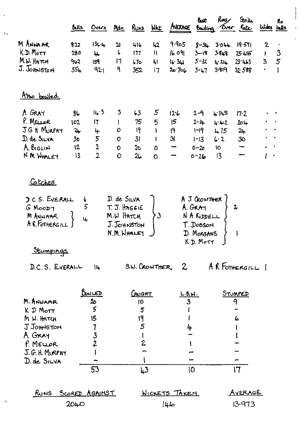|                                                            | Buils          | Overs                 | Md n                                                    | <u>Runs</u>    | <u>WAL</u>      | AVERAGE                 | bet                                                                                      | Runs<br>Bowling Over Rate | Strike                   | Wides balls                   | ılo          |
|------------------------------------------------------------|----------------|-----------------------|---------------------------------------------------------|----------------|-----------------|-------------------------|------------------------------------------------------------------------------------------|---------------------------|--------------------------|-------------------------------|--------------|
| M ANNAAR                                                   | 822            | $13c +$               | <b>JI</b>                                               | 416            | 42              | 9.905                   | $8 - 31$                                                                                 | 3.044                     | 19.571                   | $\mathbf{2}$                  | $\cdot$      |
| $K.D.$ Mott                                                | 230            | IL.                   | Ļ                                                       | 177            | Ħ               | 16 091                  | $3 - 18$                                                                                 | 3848                      | 25.456                   | T                             | $\mathbf{3}$ |
| M.W. HATCH                                                 | 962            | 159                   | 17                                                      | 670            | 4l              | 16.341                  | $5 - 32$                                                                                 | 4.24                      | 23.443                   | $\overline{\mathbf{3}}$       | 5            |
| J. Johnston                                                | $55 +$         | 921                   | ٩                                                       | 352            | 17              | 20.706                  | $3 - 17$                                                                                 | 3.819                     | 32.588                   | $\bullet$                     |              |
| Also bowled                                                |                |                       |                                                         |                |                 |                         |                                                                                          |                           |                          |                               |              |
| A GRAY                                                     | 86             | 14.3                  | 3                                                       | 63             | $5\overline{)}$ | 12.6                    | $2 - 9$                                                                                  | 4.345                     | 17.2                     |                               |              |
| P. MELLOR                                                  | 102            | 17                    | l                                                       | 75             | 5               | 15                      | $2 - 14$                                                                                 | 442                       | $20 - 4$                 |                               |              |
| JGH MURPHY                                                 | $2+$           | 4                     | O                                                       | 19             | I               | I۹                      | $1 - 19$                                                                                 | 475                       | 24                       |                               |              |
| D. de SILVA                                                | 3 <sub>o</sub> | 5                     | $\mathbf o$                                             | 3 <sub>l</sub> | $\mathbf{I}$    | 31                      | $1 - 13$                                                                                 | 6.2                       | 30                       |                               | $\bullet$    |
| A BIGLIN                                                   | 12             | $\overline{2}$        | $\bullet$                                               | 30             | $\mathbf 0$     | ╼                       | $0 - 20$                                                                                 | <b>IO</b>                 | $\overline{\phantom{0}}$ | $\sim$ $\bullet$<br>$\bullet$ |              |
| N M WHALEY                                                 | 13             | $\overline{2}$        | 0                                                       | 26             | $\mathbf O$     |                         | $0 - 26$                                                                                 | 13                        |                          | ŧ<br>$\bullet$                |              |
| <u>Catches</u>                                             |                |                       |                                                         |                |                 |                         |                                                                                          |                           |                          |                               |              |
| DCS. EVERALL<br>$G$ Moo $D$<br>M ANWAAR<br>A R. FOTHERGILL | 6<br>5<br>4    |                       | D. de SILVA<br>T. J. HAGGIE<br>M.W HATCH<br>N.M. WHALEY | J. JOHNSTON    | $\mathfrak{Z}$  |                         | A J CROWTHER<br>A.GRA <sub>T</sub><br>NA RIDDELL<br>T. Dosson<br>D. MORGANS<br>KD Mott J |                           | $\boldsymbol{2}$<br>1    |                               |              |
| Stumpings                                                  |                |                       |                                                         |                |                 |                         |                                                                                          |                           |                          |                               |              |
| D.C.S. EVERALL                                             |                | 14                    |                                                         | S.W. CROWTHER  |                 | $\mathcal{Z}$           |                                                                                          |                           | AR FOTHERGILL 1          |                               |              |
|                                                            |                | <u>BONLED</u>         |                                                         | CAUGHT         |                 | <u>L.B.W.</u>           |                                                                                          |                           | <u>STUMPED</u>           |                               |              |
| M. ANWAAR                                                  |                | $rac{20}{5}$          |                                                         | 10             |                 | $\overline{\mathbf{3}}$ |                                                                                          |                           | 9                        |                               |              |
| K D Mott                                                   |                |                       |                                                         | 5              |                 |                         |                                                                                          |                           |                          |                               |              |
| M W. HATCH                                                 |                | 15                    |                                                         | ۱۹             |                 |                         |                                                                                          |                           | ها                       |                               |              |
| J JOHNSTON                                                 |                |                       |                                                         | 5              |                 | 4                       |                                                                                          |                           |                          |                               |              |
| A GRAY                                                     |                | $\frac{3}{2}$         |                                                         |                |                 |                         |                                                                                          |                           |                          |                               |              |
| P. MELLOR                                                  |                |                       |                                                         | 2              |                 |                         |                                                                                          |                           |                          |                               |              |
| J.G. H. MURPHY                                             |                |                       |                                                         |                |                 |                         |                                                                                          |                           |                          |                               |              |
| D. de SILVA                                                |                |                       |                                                         |                |                 |                         |                                                                                          |                           |                          |                               |              |
|                                                            |                | 53                    |                                                         | 43             |                 |                         | 10                                                                                       |                           | 17                       |                               |              |
| <b>RUNS</b>                                                |                | <u>Scored AGAINST</u> |                                                         |                |                 | <u>WICKETS TAKEN</u>    |                                                                                          |                           | <u>AVERAGE</u>           |                               |              |
|                                                            | 2040           |                       |                                                         |                |                 | طباا                    |                                                                                          |                           | 13.973                   |                               |              |

 $\overline{\phantom{a}}$ 

 $\ddot{\phantom{a}}$  .

 $\sigma$ 

 $\begin{array}{c} \n\downarrow \\
\downarrow\n\end{array}$ 

 $\bar{\mathcal{A}}$ 

 $\hat{\mathbf{r}}$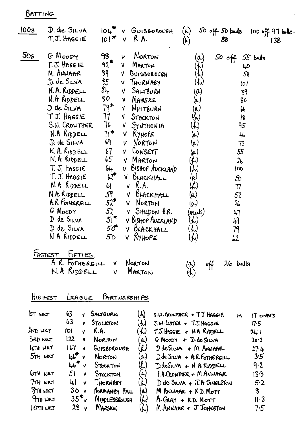BATTING

| 100s            | D. de SILVA<br>$T.T.$ HAGC IE                                                                                                                                                                                                                                                                                                                                                 | $104^{\nabla}$<br>$ 0 $ <sup>*</sup>                                                                                                                                                                                       | V GUISBOROUGH<br>RA.<br>V.                                                                                                                                                                                                                                                                                                                                              | $(\kappa)$<br>$\left(\mathsf{r}\right)$                                                                                                                                                                                                                                                                                                                                                                                                                                                        | $50$ off $50$ balls<br>88                                                                                                                                               | $100$ off 97 bile.<br>138 |
|-----------------|-------------------------------------------------------------------------------------------------------------------------------------------------------------------------------------------------------------------------------------------------------------------------------------------------------------------------------------------------------------------------------|----------------------------------------------------------------------------------------------------------------------------------------------------------------------------------------------------------------------------|-------------------------------------------------------------------------------------------------------------------------------------------------------------------------------------------------------------------------------------------------------------------------------------------------------------------------------------------------------------------------|------------------------------------------------------------------------------------------------------------------------------------------------------------------------------------------------------------------------------------------------------------------------------------------------------------------------------------------------------------------------------------------------------------------------------------------------------------------------------------------------|-------------------------------------------------------------------------------------------------------------------------------------------------------------------------|---------------------------|
| 50 <sub>s</sub> | G MOODY<br>T. J. HAGG IE<br>M. ANWAAR<br>D. de SILVA<br>N. A. RIDDELL<br>N.A RODELL<br>D de SILVA<br>TJ. HAGGIE<br>S.W. CROWTHER<br>N.A RIDDELL<br>D. de SILVA<br>$N.$ A. $R$ <sub>1</sub> $p$ $p$ $E$ $L$<br>N. A RIDDELL<br>$T$ . J. Haggie<br>T. J. HAGGIE<br>N.A RIDDELL<br>N.A. RIDDELL<br>A.R FOTHERGILL<br>G. MOODY<br>$D$ de $S_{I LVA}$<br>D de SILVA<br>N A RIDDELL | 98<br>92 <sup>4</sup><br>89<br>85<br>$8+$<br>80<br>$79$ *<br>77.<br>76<br>7 <sup>†</sup><br>69<br>67<br>$65-$<br>64<br>$b2^{\pi}$<br>61<br>5 <sup>q</sup><br>$52^*$<br>52<br>$51^*$<br>50 <sup>th</sup><br>50 <sub>o</sub> | NORTON<br>$\mathbf v$<br>MARTON<br>$V =$<br>V GUISBOROUGH<br>V THORNABY<br>V SALTBURN<br>V MARSKE<br>V WHITBURN<br>V STOCKTON<br>$V$ Synthonia<br>$V$ KyHOPE<br>NORTON<br>$\mathbf{V}$<br>V CONSETT<br>V MARTON<br>v BISHOP AUCKLAND<br>V BLACKHALL<br>$v$ $R.A.$<br>BLACKHALL<br>V.<br><b>V</b> NORTON<br>Y SHIDON BR.<br>V BISHOP AUCKLAND<br>V BLACKHALL<br>V RYHOPE | $(\alpha)$<br>$(\boldsymbol{\mathcal{L}})$<br>$\left(\boldsymbol{k}\right)$<br>$(\boldsymbol{\mathcal{L}})$<br>(a)<br>(a )<br>$(\mathbf{a})$<br>$\langle \! \! \langle \cdot \rangle \! \! \rangle$<br>$\mathcal{(L)}$<br>$(\!\omega\!)$<br>(a)<br>(a)<br>$\left(\begin{smallmatrix} \boldsymbol{L} \ \boldsymbol{V} \end{smallmatrix}\right)$<br>$(\lambda)$<br>(a)<br>$\hat{\mathcal{L}}$<br>(a)<br>(a)<br>(neut)<br>$\left(\mathcal{K}\right)$<br>$\mathcal{L}(\mathcal{L})$<br>$(\lambda)$ | $50$ off<br>$55$ bals<br>40<br>58<br>107<br>89<br>80<br>66<br>78<br>٩5<br>46<br>73<br>55<br>26<br>100<br>$\infty$<br>17<br>52<br>2 <sub>b</sub><br>47<br>49<br>79<br>62 |                           |
|                 | FASTEST<br>$F_{IFTIES}$<br>$R.$ FOTHERGILL<br>N.A RIDDELL                                                                                                                                                                                                                                                                                                                     | V<br>V                                                                                                                                                                                                                     | NORTON<br>MARTON                                                                                                                                                                                                                                                                                                                                                        | $\omega$<br>$\langle \mathcal{K} \rangle$                                                                                                                                                                                                                                                                                                                                                                                                                                                      | $26$ balls                                                                                                                                                              |                           |

 $\ddot{\phantom{a}}$ 

HIGHEST LEAGUE PARTNERSHIPS

| $ST$ WKT       | 63              | v.           | SALTBURN              | $(\lambda)$                   | $s.u.c$ cowriter + $TJ$ Haggie   | ١n | $17 \text{ overs}$ |
|----------------|-----------------|--------------|-----------------------|-------------------------------|----------------------------------|----|--------------------|
|                | 63              | V.           | STOCKTON              | ん                             | $J.W.$ LISTER + $T.T.$ HAGGIE    |    | 17.5               |
| 2ND WKT        | ſоl             | v            | R.A.                  | ん                             | $T.T.$ HAGGIE + N.A RIDDELL      |    | 24.1               |
| 3RD WKT        | 122             | v            | NORTON                | a)                            | $G$ Moopy $+$ D. de SILVA        |    | 20.2               |
| LITH WKT       | 167             | v.           | GUISBOROUGH           | ${\cal{L}}$                   | D de SILVA + M ANWAAR            |    | 27.4               |
| $5nt$ wrt      | $\mu^*$         | $\mathbf{v}$ | NORTON                | $\alpha)$                     | $D$ , de SINA + A.R. FOTHERGILL  |    | 3.5                |
|                | 46              | - 7          | STOCKTON              | $\left(\mathcal{L}\right)$    | $D.\text{deSiLVA}$ + N A RIDDELL |    | 9.2                |
| GTH NKT        | 51              | v            | STOCKTON              | (a)                           | $PA$ CROWTHER $\div$ M AN WAAR   |    | 13.3               |
| $7TH$ $\mu$ KT | 41              | v            | THORNABY              | $\langle \mathcal{L} \rangle$ | $D$ de SILVA $f$ J. A SINGLETON  |    | 5.2                |
| <b>PTH WKT</b> | 30 v            |              | <b>NORMANISY HALL</b> | W)                            | M ANUAAR + KD. MOTT              |    | 8                  |
| $9$ TH WKT     | 35 <sup>2</sup> |              | MIDDLESBROUGH         | ${\cal U}$                    | $A$ -GRAY $+$ K.D. MOTT          |    | $II-3$             |
| LOTH WET       | 28              | v            | MARSKE                |                               | M. ANNAAR + J JOHNSTON           |    | $7·5^-$            |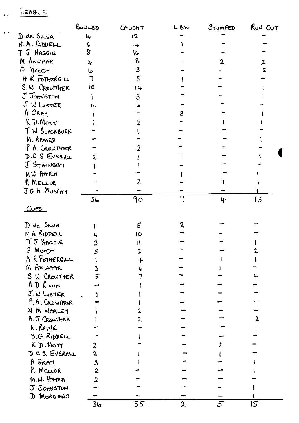## LEAGUE

 $\ddot{\phantom{a}}$ 

 $\epsilon$  .

|                | BONLED                    | $C$ AUGHT      | $L$ $6.$ W  | STUMPED | RUN OUT        |
|----------------|---------------------------|----------------|-------------|---------|----------------|
| D de SILVA     | $\mathbf{L}_{\mathbf{r}}$ | 12             |             |         |                |
| N.A. RIDDELL   | ι.                        | 14             |             |         |                |
| T J. HAGGIE    | $\overline{8}$            | ماا            |             |         |                |
| M ANWAAR       | عبا                       | 8              |             |         | $\overline{z}$ |
| $G$ Moorr      | ما                        | $\overline{3}$ |             |         | $\overline{2}$ |
| A R FOTHERGILL |                           | $\mathcal{S}$  |             |         |                |
| S. W CROWTHER  | 10                        | $L_{+}$        |             |         |                |
| J JOHNSTON     |                           | 3              |             |         |                |
| J W LISTER     | 4                         |                |             |         |                |
| A GRAY         |                           |                | 3           |         |                |
| K D. Morr      |                           |                |             |         |                |
| I W BLACKBURN  |                           |                |             |         |                |
| M. AHMED       |                           |                |             |         |                |
| P A. CROWTHER  |                           |                |             |         |                |
| D.C.S EVERALL  | $\overline{2}$            |                |             |         |                |
| J STAINSBY     |                           |                |             |         |                |
| MW HATCH       |                           |                |             |         |                |
| $P$ , MELLOR   |                           |                |             |         |                |
| JGH MURPHY     |                           |                |             |         |                |
|                | 56                        | 90             |             | 4       | 13             |
| $CU$ es        |                           |                |             |         |                |
| D de SILVA     |                           | 5              |             |         |                |
| N A RIDDELL    | 14                        | 10             |             |         |                |
| TJ HAGGIE      | 3                         | l١             |             |         |                |
| G MOODY        | 5                         |                |             |         |                |
| A R FOTHERGILL |                           |                |             |         |                |
| M ANWAAR       | 3                         |                |             |         |                |
| S W CROWTHER   | 5                         |                |             |         | 4              |
| AD RIXON       |                           |                |             |         |                |
| J. W. LISTER   |                           |                |             |         |                |
| P. A. CROWTHER |                           |                |             |         |                |
| N M WHALEY     |                           |                |             |         |                |
| A.J CROWTHER   |                           |                |             |         |                |
| N. RAINE       |                           |                |             |         |                |
| S.G. RIDDELL   |                           |                |             |         |                |
| KD. MOTT       |                           |                |             |         |                |
| DCS. EVERALL   | $\overline{2}$            |                |             |         |                |
| A. GRAY        | $\mathbf{3}$              |                |             |         |                |
| P. MELLOR      | 2                         |                |             |         |                |
| M.W. HATCH     | $\overline{2}$            |                |             |         |                |
| J. JOHNSTON    |                           |                |             |         |                |
| D MORGANS      |                           |                |             |         |                |
|                | 36                        | 55             | $\mathbf 2$ | 5       | 15             |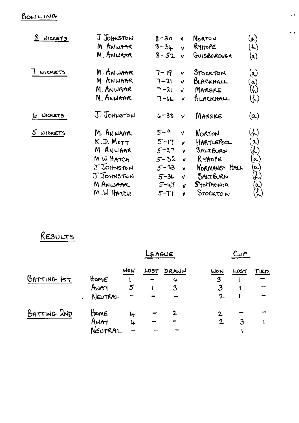## BOWLING

| 8<br><b>WICKETS</b> | J JOHNSTON<br>M ANWAAR<br>M. ANWAAR                                                                   | $8 - 30$<br><b>V</b><br>$8 - 34$<br>v.<br>$8 - 52$<br>$\mathbf{v}$                                                                           | Norton<br>RyHOPE<br>GUISBOROUGH                                                                             | $\left( \mathbf{r}\right)$<br>(人)<br>(a)                                                                                             |
|---------------------|-------------------------------------------------------------------------------------------------------|----------------------------------------------------------------------------------------------------------------------------------------------|-------------------------------------------------------------------------------------------------------------|--------------------------------------------------------------------------------------------------------------------------------------|
| <b>WICKETS</b>      | M. ANWAAR<br>M ANWAAR<br>M. ANWA <del>n</del> r<br>M ANWAAR                                           | $7 - 19$<br>V.<br>$7 - 21$<br>v.<br>7 -21<br>$\checkmark$<br>$7 - 64$<br>v                                                                   | STOCKTON<br>BLACKHALL<br>MARSKE<br>BLACKHALL                                                                | (a)<br>$\alpha)$<br>$\omega$<br>$\left(\begin{smallmatrix} 1 \end{smallmatrix}\right)$                                               |
| 6 WICKETS           | J. Johnston                                                                                           | $6 - 38$<br>$\vee$                                                                                                                           | MARSKE                                                                                                      | (a)                                                                                                                                  |
| 5 WICKETS           | M. ANWAAR<br>K.D. Morr<br>M ANWAAR<br>M W HATCH<br>J JOHNSTON<br>J JOHNSTON<br>M ANWAAR<br>M.W. HATCH | 5-9<br>V<br>$5 - 17$<br>V<br>$5 - 27$<br>v.<br>$5 - 32$<br>$\mathbf{v}$<br>$5 - 33$<br>v<br>$5 - 34$<br>V.<br>$5 - 47$<br>V<br>$5 - 77$<br>V | <b>NORTON</b><br>HARTLEPOOL<br>SALTBURN<br>RyHope<br>NORMANGY HALL<br>SALTBURN<br>$SYN$ THONIA<br>Stockto N | $(\lambda)$<br>$(\mathfrak{a})$<br>$\langle \! \! \! \! \! \rangle$<br>$\alpha)$<br>(a)<br>$(\hspace{-0.3cm}C)$<br>$\mathbf{a}$<br>ん |

 $\ddot{\phantom{a}}$ 

 $\ddot{\phantom{1}}$ 

## RESULTS

|             |                         |                                      | LENGUE |                 |                          | Cup         |            |  |  |  |
|-------------|-------------------------|--------------------------------------|--------|-----------------|--------------------------|-------------|------------|--|--|--|
| BATTING IST | HomE<br>Away<br>NEUTRAL | WON<br>5<br>$\overline{\phantom{a}}$ | LOST   | DRAWN<br>6<br>3 | WON<br>3<br>$\mathbf{C}$ | <b>LOS7</b> | <u>NED</u> |  |  |  |
| BATTING 2ND | Home<br>AWAY<br>NEUTRAL | ہا<br>4                              |        | $\mathbf{2}$    | 2.<br>$\mathbf 2$        | 3           |            |  |  |  |